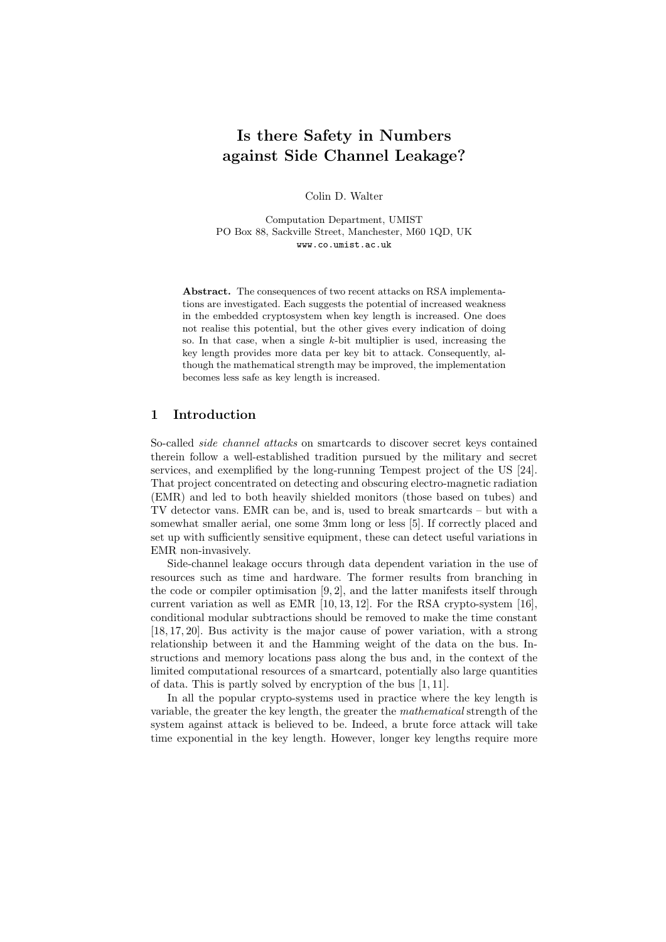# Is there Safety in Numbers against Side Channel Leakage?

Colin D. Walter

Computation Department, UMIST PO Box 88, Sackville Street, Manchester, M60 1QD, UK www.co.umist.ac.uk

Abstract. The consequences of two recent attacks on RSA implementations are investigated. Each suggests the potential of increased weakness in the embedded cryptosystem when key length is increased. One does not realise this potential, but the other gives every indication of doing so. In that case, when a single  $k$ -bit multiplier is used, increasing the key length provides more data per key bit to attack. Consequently, although the mathematical strength may be improved, the implementation becomes less safe as key length is increased.

## 1 Introduction

So-called side channel attacks on smartcards to discover secret keys contained therein follow a well-established tradition pursued by the military and secret services, and exemplified by the long-running Tempest project of the US [24]. That project concentrated on detecting and obscuring electro-magnetic radiation (EMR) and led to both heavily shielded monitors (those based on tubes) and TV detector vans. EMR can be, and is, used to break smartcards – but with a somewhat smaller aerial, one some 3mm long or less [5]. If correctly placed and set up with sufficiently sensitive equipment, these can detect useful variations in EMR non-invasively.

Side-channel leakage occurs through data dependent variation in the use of resources such as time and hardware. The former results from branching in the code or compiler optimisation  $[9, 2]$ , and the latter manifests itself through current variation as well as EMR  $[10, 13, 12]$ . For the RSA crypto-system  $[16]$ , conditional modular subtractions should be removed to make the time constant [18, 17, 20]. Bus activity is the major cause of power variation, with a strong relationship between it and the Hamming weight of the data on the bus. Instructions and memory locations pass along the bus and, in the context of the limited computational resources of a smartcard, potentially also large quantities of data. This is partly solved by encryption of the bus [1, 11].

In all the popular crypto-systems used in practice where the key length is variable, the greater the key length, the greater the mathematical strength of the system against attack is believed to be. Indeed, a brute force attack will take time exponential in the key length. However, longer key lengths require more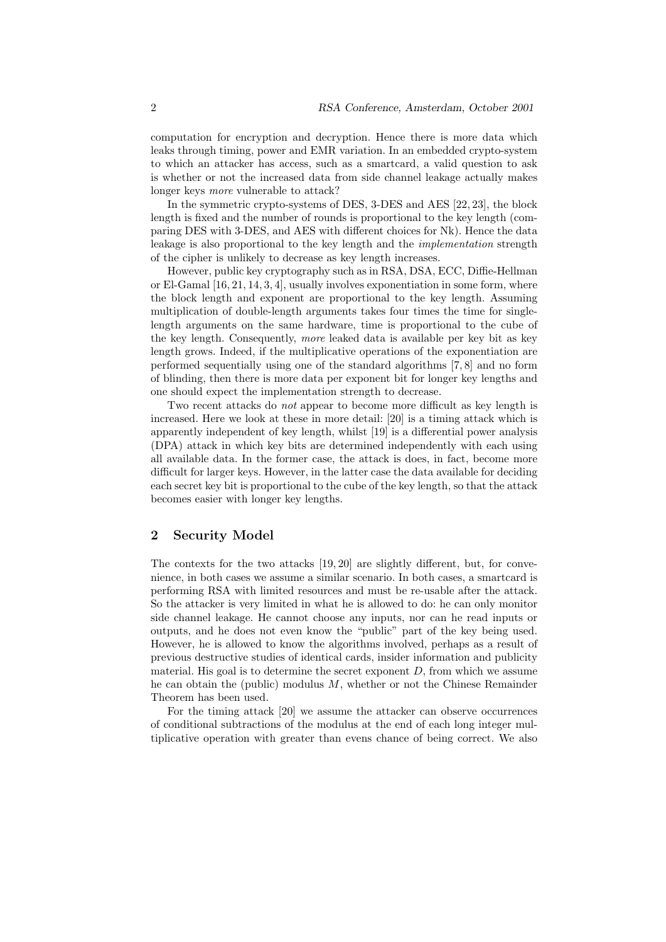computation for encryption and decryption. Hence there is more data which leaks through timing, power and EMR variation. In an embedded crypto-system to which an attacker has access, such as a smartcard, a valid question to ask is whether or not the increased data from side channel leakage actually makes longer keys more vulnerable to attack?

In the symmetric crypto-systems of DES, 3-DES and AES [22, 23], the block length is fixed and the number of rounds is proportional to the key length (comparing DES with 3-DES, and AES with different choices for Nk). Hence the data leakage is also proportional to the key length and the implementation strength of the cipher is unlikely to decrease as key length increases.

However, public key cryptography such as in RSA, DSA, ECC, Diffie-Hellman or El-Gamal  $[16, 21, 14, 3, 4]$ , usually involves exponentiation in some form, where the block length and exponent are proportional to the key length. Assuming multiplication of double-length arguments takes four times the time for singlelength arguments on the same hardware, time is proportional to the cube of the key length. Consequently, more leaked data is available per key bit as key length grows. Indeed, if the multiplicative operations of the exponentiation are performed sequentially using one of the standard algorithms [7, 8] and no form of blinding, then there is more data per exponent bit for longer key lengths and one should expect the implementation strength to decrease.

Two recent attacks do not appear to become more difficult as key length is increased. Here we look at these in more detail: [20] is a timing attack which is apparently independent of key length, whilst [19] is a differential power analysis (DPA) attack in which key bits are determined independently with each using all available data. In the former case, the attack is does, in fact, become more difficult for larger keys. However, in the latter case the data available for deciding each secret key bit is proportional to the cube of the key length, so that the attack becomes easier with longer key lengths.

#### 2 Security Model

The contexts for the two attacks [19, 20] are slightly different, but, for convenience, in both cases we assume a similar scenario. In both cases, a smartcard is performing RSA with limited resources and must be re-usable after the attack. So the attacker is very limited in what he is allowed to do: he can only monitor side channel leakage. He cannot choose any inputs, nor can he read inputs or outputs, and he does not even know the "public" part of the key being used. However, he is allowed to know the algorithms involved, perhaps as a result of previous destructive studies of identical cards, insider information and publicity material. His goal is to determine the secret exponent  $D$ , from which we assume he can obtain the (public) modulus  $M$ , whether or not the Chinese Remainder Theorem has been used.

For the timing attack [20] we assume the attacker can observe occurrences of conditional subtractions of the modulus at the end of each long integer multiplicative operation with greater than evens chance of being correct. We also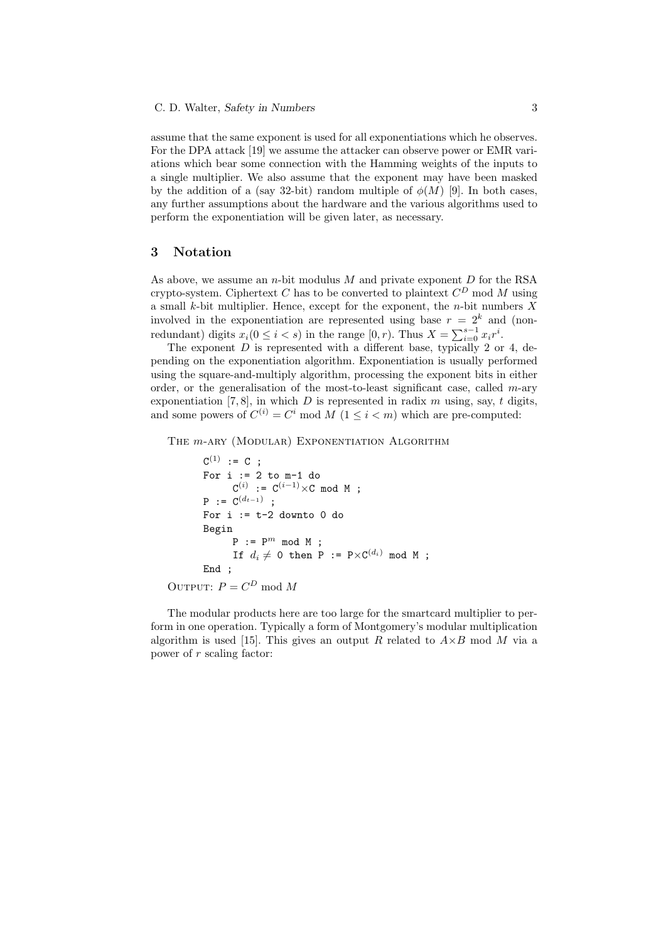assume that the same exponent is used for all exponentiations which he observes. For the DPA attack [19] we assume the attacker can observe power or EMR variations which bear some connection with the Hamming weights of the inputs to a single multiplier. We also assume that the exponent may have been masked by the addition of a (say 32-bit) random multiple of  $\phi(M)$  [9]. In both cases, any further assumptions about the hardware and the various algorithms used to perform the exponentiation will be given later, as necessary.

## 3 Notation

As above, we assume an *n*-bit modulus  $M$  and private exponent  $D$  for the RSA crypto-system. Ciphertext C has to be converted to plaintext  $C^D$  mod M using a small k-bit multiplier. Hence, except for the exponent, the  $n$ -bit numbers  $X$ involved in the exponentiation are represented using base  $r = 2<sup>k</sup>$  and (nonredundant) digits  $x_i(0 \leq i < s)$  in the range  $[0, r)$ . Thus  $X = \sum_{i=0}^{s-1} x_i r^i$ .

The exponent  $D$  is represented with a different base, typically 2 or 4, depending on the exponentiation algorithm. Exponentiation is usually performed using the square-and-multiply algorithm, processing the exponent bits in either order, or the generalisation of the most-to-least significant case, called  $m$ -ary exponentiation [7, 8], in which D is represented in radix  $m$  using, say, t digits, and some powers of  $C^{(i)} = C^i \mod M$   $(1 \leq i < m)$  which are pre-computed:

THE  $m$ -ARY (MODULAR) EXPONENTIATION ALGORITHM

```
C^{(1)} := C;For i := 2 to m-1 do
              C^{(i)} := C^{(i-1)} \times C mod M ;
       P := C^{(d_{t-1})} ;
       For i := t-2 downto 0 do
       Begin
             P := P^m \mod M;
              If d_i \neq 0 then P := P \times C^{(d_i)} mod M ;
       End ;
OUTPUT: P = C^D \mod M
```
The modular products here are too large for the smartcard multiplier to perform in one operation. Typically a form of Montgomery's modular multiplication algorithm is used [15]. This gives an output R related to  $A \times B$  mod M via a power of r scaling factor: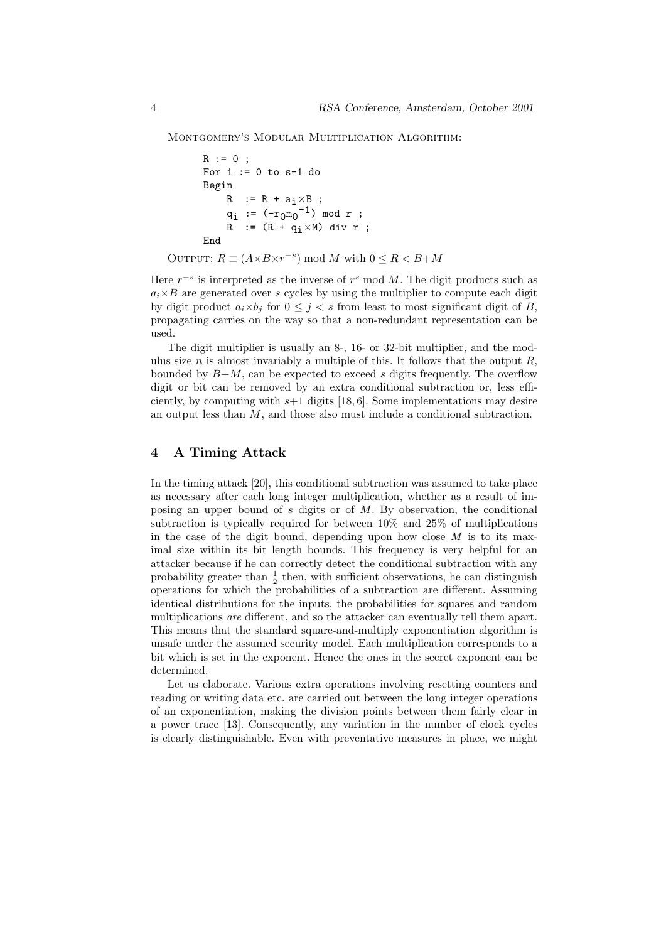Montgomery's Modular Multiplication Algorithm:

```
R := 0;For i := 0 to s-1 do
       Begin
             R : = R + a_i \times B;q_i := (-r_0 \overline{m_0}^{-1}) \mod r;R := (R + q_i \times M) div r ;
       End
OUTPUT: R \equiv (A \times B \times r^{-s}) \mod M with 0 \le R < B + M
```
Here  $r^{-s}$  is interpreted as the inverse of  $r^{s}$  mod M. The digit products such as  $a_i \times B$  are generated over s cycles by using the multiplier to compute each digit by digit product  $a_i \times b_j$  for  $0 \leq j < s$  from least to most significant digit of B, propagating carries on the way so that a non-redundant representation can be used.

The digit multiplier is usually an 8-, 16- or 32-bit multiplier, and the modulus size  $n$  is almost invariably a multiple of this. It follows that the output  $R$ , bounded by  $B+M$ , can be expected to exceed s digits frequently. The overflow digit or bit can be removed by an extra conditional subtraction or, less efficiently, by computing with  $s+1$  digits [18, 6]. Some implementations may desire an output less than M, and those also must include a conditional subtraction.

## 4 A Timing Attack

In the timing attack [20], this conditional subtraction was assumed to take place as necessary after each long integer multiplication, whether as a result of imposing an upper bound of s digits or of  $M$ . By observation, the conditional subtraction is typically required for between 10% and 25% of multiplications in the case of the digit bound, depending upon how close  $M$  is to its maximal size within its bit length bounds. This frequency is very helpful for an attacker because if he can correctly detect the conditional subtraction with any probability greater than  $\frac{1}{2}$  then, with sufficient observations, he can distinguish operations for which the probabilities of a subtraction are different. Assuming identical distributions for the inputs, the probabilities for squares and random multiplications are different, and so the attacker can eventually tell them apart. This means that the standard square-and-multiply exponentiation algorithm is unsafe under the assumed security model. Each multiplication corresponds to a bit which is set in the exponent. Hence the ones in the secret exponent can be determined.

Let us elaborate. Various extra operations involving resetting counters and reading or writing data etc. are carried out between the long integer operations of an exponentiation, making the division points between them fairly clear in a power trace [13]. Consequently, any variation in the number of clock cycles is clearly distinguishable. Even with preventative measures in place, we might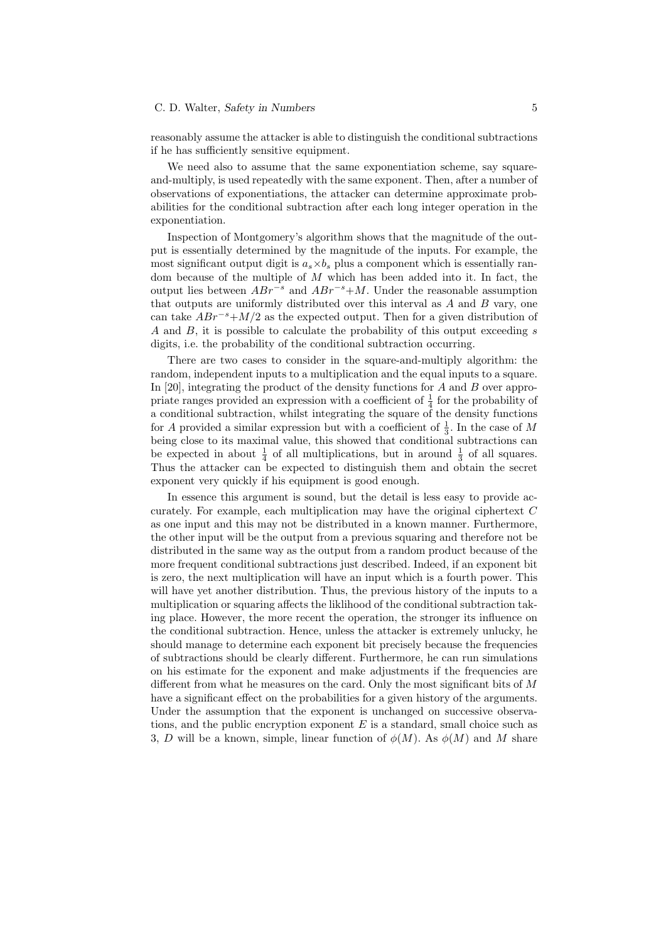#### C. D. Walter, Safety in Numbers 5

reasonably assume the attacker is able to distinguish the conditional subtractions if he has sufficiently sensitive equipment.

We need also to assume that the same exponentiation scheme, say squareand-multiply, is used repeatedly with the same exponent. Then, after a number of observations of exponentiations, the attacker can determine approximate probabilities for the conditional subtraction after each long integer operation in the exponentiation.

Inspection of Montgomery's algorithm shows that the magnitude of the output is essentially determined by the magnitude of the inputs. For example, the most significant output digit is  $a_s \times b_s$  plus a component which is essentially random because of the multiple of  $M$  which has been added into it. In fact, the output lies between  $ABr^{-s}$  and  $ABr^{-s}+M$ . Under the reasonable assumption that outputs are uniformly distributed over this interval as  $A$  and  $B$  vary, one can take  $ABr^{-s}+M/2$  as the expected output. Then for a given distribution of A and B, it is possible to calculate the probability of this output exceeding s digits, i.e. the probability of the conditional subtraction occurring.

There are two cases to consider in the square-and-multiply algorithm: the random, independent inputs to a multiplication and the equal inputs to a square. In [20], integrating the product of the density functions for A and B over appropriate ranges provided an expression with a coefficient of  $\frac{1}{4}$  for the probability of a conditional subtraction, whilst integrating the square of the density functions for A provided a similar expression but with a coefficient of  $\frac{1}{3}$ . In the case of M being close to its maximal value, this showed that conditional subtractions can be expected in about  $\frac{1}{4}$  of all multiplications, but in around  $\frac{1}{3}$  of all squares. Thus the attacker can be expected to distinguish them and obtain the secret exponent very quickly if his equipment is good enough.

In essence this argument is sound, but the detail is less easy to provide accurately. For example, each multiplication may have the original ciphertext C as one input and this may not be distributed in a known manner. Furthermore, the other input will be the output from a previous squaring and therefore not be distributed in the same way as the output from a random product because of the more frequent conditional subtractions just described. Indeed, if an exponent bit is zero, the next multiplication will have an input which is a fourth power. This will have yet another distribution. Thus, the previous history of the inputs to a multiplication or squaring affects the liklihood of the conditional subtraction taking place. However, the more recent the operation, the stronger its influence on the conditional subtraction. Hence, unless the attacker is extremely unlucky, he should manage to determine each exponent bit precisely because the frequencies of subtractions should be clearly different. Furthermore, he can run simulations on his estimate for the exponent and make adjustments if the frequencies are different from what he measures on the card. Only the most significant bits of  $M$ have a significant effect on the probabilities for a given history of the arguments. Under the assumption that the exponent is unchanged on successive observations, and the public encryption exponent  $E$  is a standard, small choice such as 3, D will be a known, simple, linear function of  $\phi(M)$ . As  $\phi(M)$  and M share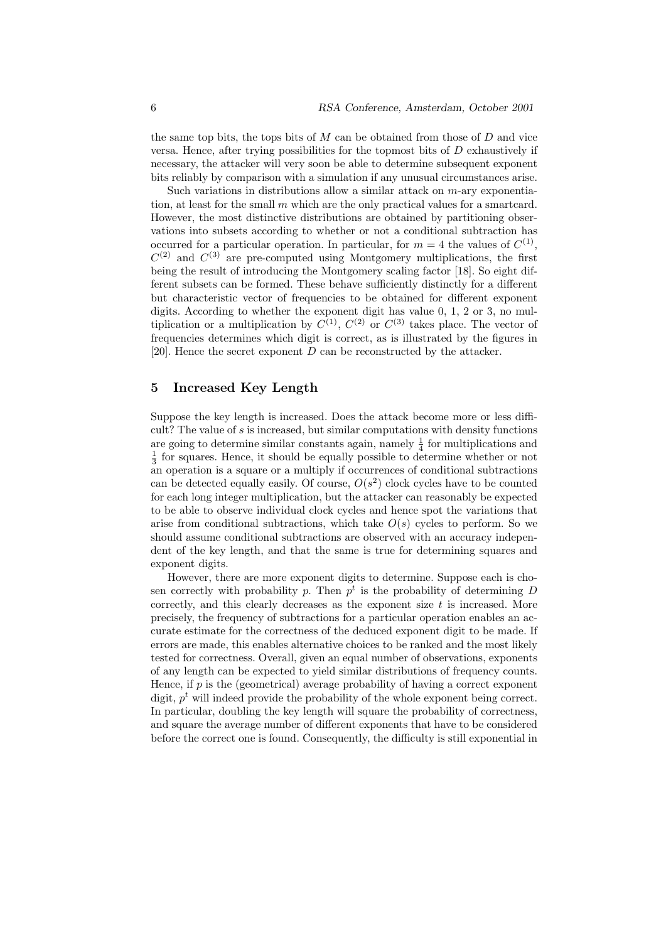the same top bits, the tops bits of  $M$  can be obtained from those of  $D$  and vice versa. Hence, after trying possibilities for the topmost bits of  $D$  exhaustively if necessary, the attacker will very soon be able to determine subsequent exponent bits reliably by comparison with a simulation if any unusual circumstances arise.

Such variations in distributions allow a similar attack on  $m$ -ary exponentiation, at least for the small  $m$  which are the only practical values for a smartcard. However, the most distinctive distributions are obtained by partitioning observations into subsets according to whether or not a conditional subtraction has occurred for a particular operation. In particular, for  $m = 4$  the values of  $C^{(1)}$ ,  $C^{(2)}$  and  $C^{(3)}$  are pre-computed using Montgomery multiplications, the first being the result of introducing the Montgomery scaling factor [18]. So eight different subsets can be formed. These behave sufficiently distinctly for a different but characteristic vector of frequencies to be obtained for different exponent digits. According to whether the exponent digit has value 0, 1, 2 or 3, no multiplication or a multiplication by  $C^{(1)}$ ,  $C^{(2)}$  or  $C^{(3)}$  takes place. The vector of frequencies determines which digit is correct, as is illustrated by the figures in [20]. Hence the secret exponent  $D$  can be reconstructed by the attacker.

## 5 Increased Key Length

Suppose the key length is increased. Does the attack become more or less difficult? The value of s is increased, but similar computations with density functions are going to determine similar constants again, namely  $\frac{1}{4}$  for multiplications and  $\frac{1}{3}$  for squares. Hence, it should be equally possible to determine whether or not an operation is a square or a multiply if occurrences of conditional subtractions can be detected equally easily. Of course,  $O(s^2)$  clock cycles have to be counted for each long integer multiplication, but the attacker can reasonably be expected to be able to observe individual clock cycles and hence spot the variations that arise from conditional subtractions, which take  $O(s)$  cycles to perform. So we should assume conditional subtractions are observed with an accuracy independent of the key length, and that the same is true for determining squares and exponent digits.

However, there are more exponent digits to determine. Suppose each is chosen correctly with probability p. Then  $p^t$  is the probability of determining D correctly, and this clearly decreases as the exponent size  $t$  is increased. More precisely, the frequency of subtractions for a particular operation enables an accurate estimate for the correctness of the deduced exponent digit to be made. If errors are made, this enables alternative choices to be ranked and the most likely tested for correctness. Overall, given an equal number of observations, exponents of any length can be expected to yield similar distributions of frequency counts. Hence, if  $p$  is the (geometrical) average probability of having a correct exponent digit,  $p<sup>t</sup>$  will indeed provide the probability of the whole exponent being correct. In particular, doubling the key length will square the probability of correctness, and square the average number of different exponents that have to be considered before the correct one is found. Consequently, the difficulty is still exponential in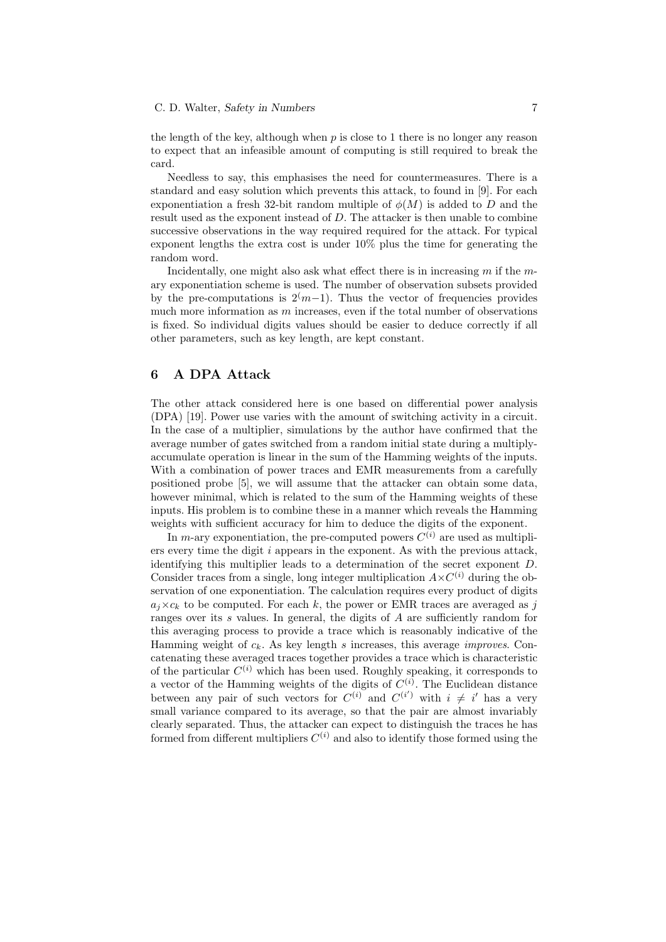#### C. D. Walter, Safety in Numbers 7

the length of the key, although when  $p$  is close to 1 there is no longer any reason to expect that an infeasible amount of computing is still required to break the card.

Needless to say, this emphasises the need for countermeasures. There is a standard and easy solution which prevents this attack, to found in [9]. For each exponentiation a fresh 32-bit random multiple of  $\phi(M)$  is added to D and the result used as the exponent instead of D. The attacker is then unable to combine successive observations in the way required required for the attack. For typical exponent lengths the extra cost is under 10% plus the time for generating the random word.

Incidentally, one might also ask what effect there is in increasing  $m$  if the  $m$ ary exponentiation scheme is used. The number of observation subsets provided by the pre-computations is  $2(m-1)$ . Thus the vector of frequencies provides much more information as  $m$  increases, even if the total number of observations is fixed. So individual digits values should be easier to deduce correctly if all other parameters, such as key length, are kept constant.

## 6 A DPA Attack

The other attack considered here is one based on differential power analysis (DPA) [19]. Power use varies with the amount of switching activity in a circuit. In the case of a multiplier, simulations by the author have confirmed that the average number of gates switched from a random initial state during a multiplyaccumulate operation is linear in the sum of the Hamming weights of the inputs. With a combination of power traces and EMR measurements from a carefully positioned probe [5], we will assume that the attacker can obtain some data, however minimal, which is related to the sum of the Hamming weights of these inputs. His problem is to combine these in a manner which reveals the Hamming weights with sufficient accuracy for him to deduce the digits of the exponent.

In m-ary exponentiation, the pre-computed powers  $C^{(i)}$  are used as multipliers every time the digit  $i$  appears in the exponent. As with the previous attack, identifying this multiplier leads to a determination of the secret exponent D. Consider traces from a single, long integer multiplication  $A \times C^{(i)}$  during the observation of one exponentiation. The calculation requires every product of digits  $a_i \times c_k$  to be computed. For each k, the power or EMR traces are averaged as j ranges over its s values. In general, the digits of A are sufficiently random for this averaging process to provide a trace which is reasonably indicative of the Hamming weight of  $c_k$ . As key length s increases, this average *improves*. Concatenating these averaged traces together provides a trace which is characteristic of the particular  $C^{(i)}$  which has been used. Roughly speaking, it corresponds to a vector of the Hamming weights of the digits of  $C^{(i)}$ . The Euclidean distance between any pair of such vectors for  $C^{(i)}$  and  $C^{(i')}$  with  $i \neq i'$  has a very small variance compared to its average, so that the pair are almost invariably clearly separated. Thus, the attacker can expect to distinguish the traces he has formed from different multipliers  $C^{(i)}$  and also to identify those formed using the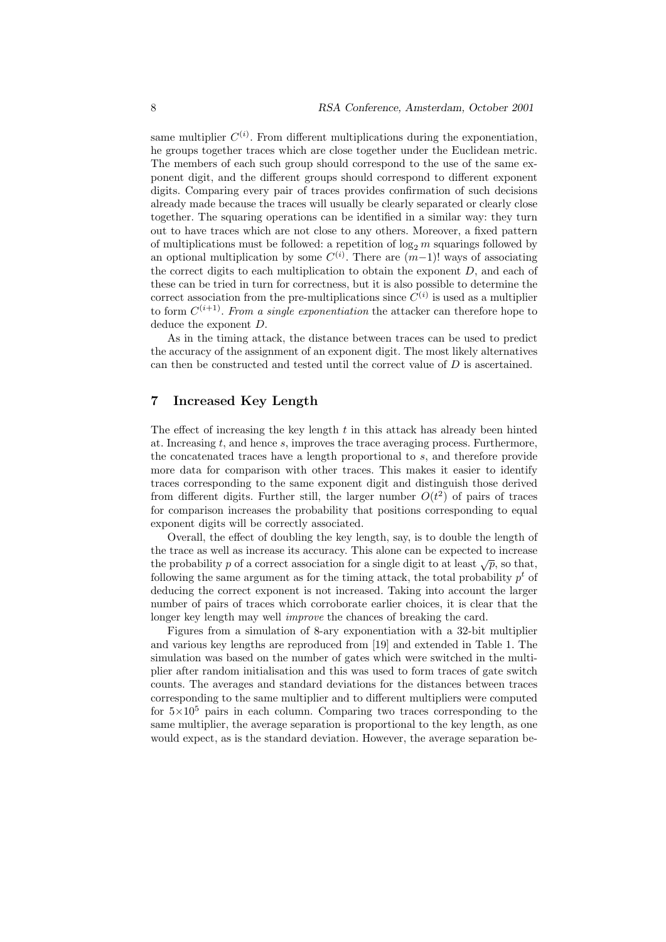same multiplier  $C^{(i)}$ . From different multiplications during the exponentiation, he groups together traces which are close together under the Euclidean metric. The members of each such group should correspond to the use of the same exponent digit, and the different groups should correspond to different exponent digits. Comparing every pair of traces provides confirmation of such decisions already made because the traces will usually be clearly separated or clearly close together. The squaring operations can be identified in a similar way: they turn out to have traces which are not close to any others. Moreover, a fixed pattern of multiplications must be followed: a repetition of  $\log_2 m$  squarings followed by an optional multiplication by some  $C^{(i)}$ . There are  $(m-1)!$  ways of associating the correct digits to each multiplication to obtain the exponent  $D$ , and each of these can be tried in turn for correctness, but it is also possible to determine the correct association from the pre-multiplications since  $C^{(i)}$  is used as a multiplier to form  $C^{(i+1)}$ . From a single exponentiation the attacker can therefore hope to deduce the exponent D.

As in the timing attack, the distance between traces can be used to predict the accuracy of the assignment of an exponent digit. The most likely alternatives can then be constructed and tested until the correct value of D is ascertained.

#### 7 Increased Key Length

The effect of increasing the key length  $t$  in this attack has already been hinted at. Increasing t, and hence s, improves the trace averaging process. Furthermore, the concatenated traces have a length proportional to s, and therefore provide more data for comparison with other traces. This makes it easier to identify traces corresponding to the same exponent digit and distinguish those derived from different digits. Further still, the larger number  $O(t^2)$  of pairs of traces for comparison increases the probability that positions corresponding to equal exponent digits will be correctly associated.

Overall, the effect of doubling the key length, say, is to double the length of the trace as well as increase its accuracy. This alone can be expected to increase the probability p of a correct association for a single digit to at least  $\sqrt{p}$ , so that, following the same argument as for the timing attack, the total probability  $p<sup>t</sup>$  of deducing the correct exponent is not increased. Taking into account the larger number of pairs of traces which corroborate earlier choices, it is clear that the longer key length may well *improve* the chances of breaking the card.

Figures from a simulation of 8-ary exponentiation with a 32-bit multiplier and various key lengths are reproduced from [19] and extended in Table 1. The simulation was based on the number of gates which were switched in the multiplier after random initialisation and this was used to form traces of gate switch counts. The averages and standard deviations for the distances between traces corresponding to the same multiplier and to different multipliers were computed for  $5\times10^5$  pairs in each column. Comparing two traces corresponding to the same multiplier, the average separation is proportional to the key length, as one would expect, as is the standard deviation. However, the average separation be-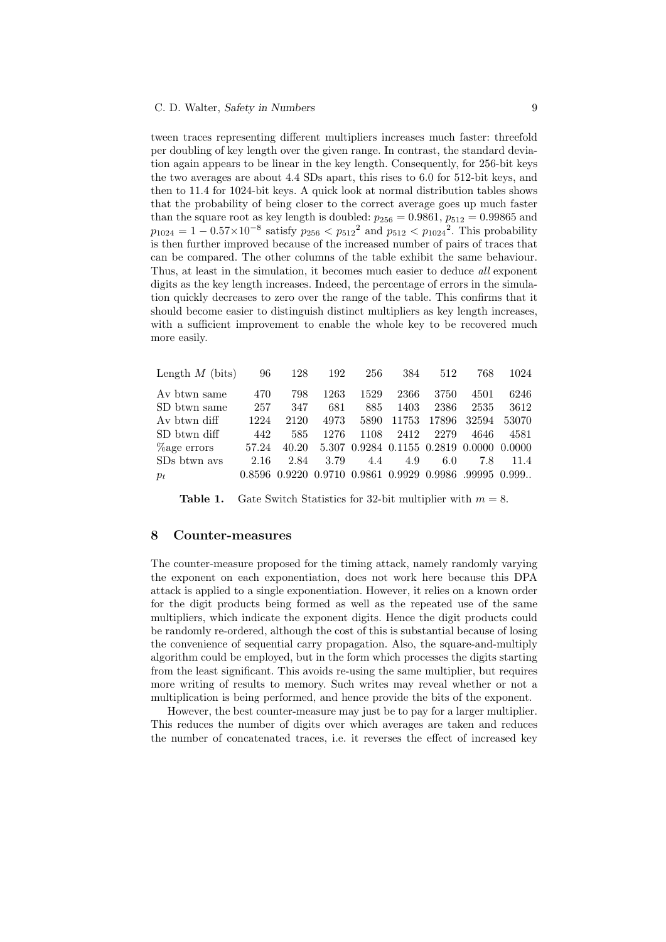tween traces representing different multipliers increases much faster: threefold per doubling of key length over the given range. In contrast, the standard deviation again appears to be linear in the key length. Consequently, for 256-bit keys the two averages are about 4.4 SDs apart, this rises to 6.0 for 512-bit keys, and then to 11.4 for 1024-bit keys. A quick look at normal distribution tables shows that the probability of being closer to the correct average goes up much faster than the square root as key length is doubled:  $p_{256} = 0.9861$ ,  $p_{512} = 0.99865$  and  $p_{1024} = 1 - 0.57 \times 10^{-8}$  satisfy  $p_{256} < p_{512}^2$  and  $p_{512} < p_{1024}^2$ . This probability is then further improved because of the increased number of pairs of traces that can be compared. The other columns of the table exhibit the same behaviour. Thus, at least in the simulation, it becomes much easier to deduce all exponent digits as the key length increases. Indeed, the percentage of errors in the simulation quickly decreases to zero over the range of the table. This confirms that it should become easier to distinguish distinct multipliers as key length increases, with a sufficient improvement to enable the whole key to be recovered much more easily.

| Length $M$ (bits) | 96     | 128    | 192    | 256    | 384   | 512                         | 768   | 1024         |
|-------------------|--------|--------|--------|--------|-------|-----------------------------|-------|--------------|
| Av btwn same      | 470    | 798    | 1263   | 1529   | 2366  | 3750                        | 4501  | 6246         |
| SD btwn same      | 257    | 347    | 681    | 885    | 1403  | 2386                        | 2535  | 3612         |
| Av btwn diff      | 1224   | 2120   | 4973   | 5890   | 11753 | 17896                       | 32594 | 53070        |
| SD btwn diff      | 442    | 585    | 1276   | 1108   | 2412  | 2279                        | 4646  | 4581         |
| Lage errors       | 57.24  | 40.20  | 5.307  |        |       | 0.9284 0.1155 0.2819 0.0000 |       | 0.0000       |
| SDs btwn avs      | 2.16   | 2.84   | 3.79   | 4.4    | 4.9   | 6.0                         | 7.8   | 11.4         |
| $p_t$             | 0.8596 | 0.9220 | 0.9710 | 0.9861 |       | 0.9929 0.9986               |       | .99995 0.999 |

**Table 1.** Gate Switch Statistics for 32-bit multiplier with  $m = 8$ .

## 8 Counter-measures

The counter-measure proposed for the timing attack, namely randomly varying the exponent on each exponentiation, does not work here because this DPA attack is applied to a single exponentiation. However, it relies on a known order for the digit products being formed as well as the repeated use of the same multipliers, which indicate the exponent digits. Hence the digit products could be randomly re-ordered, although the cost of this is substantial because of losing the convenience of sequential carry propagation. Also, the square-and-multiply algorithm could be employed, but in the form which processes the digits starting from the least significant. This avoids re-using the same multiplier, but requires more writing of results to memory. Such writes may reveal whether or not a multiplication is being performed, and hence provide the bits of the exponent.

However, the best counter-measure may just be to pay for a larger multiplier. This reduces the number of digits over which averages are taken and reduces the number of concatenated traces, i.e. it reverses the effect of increased key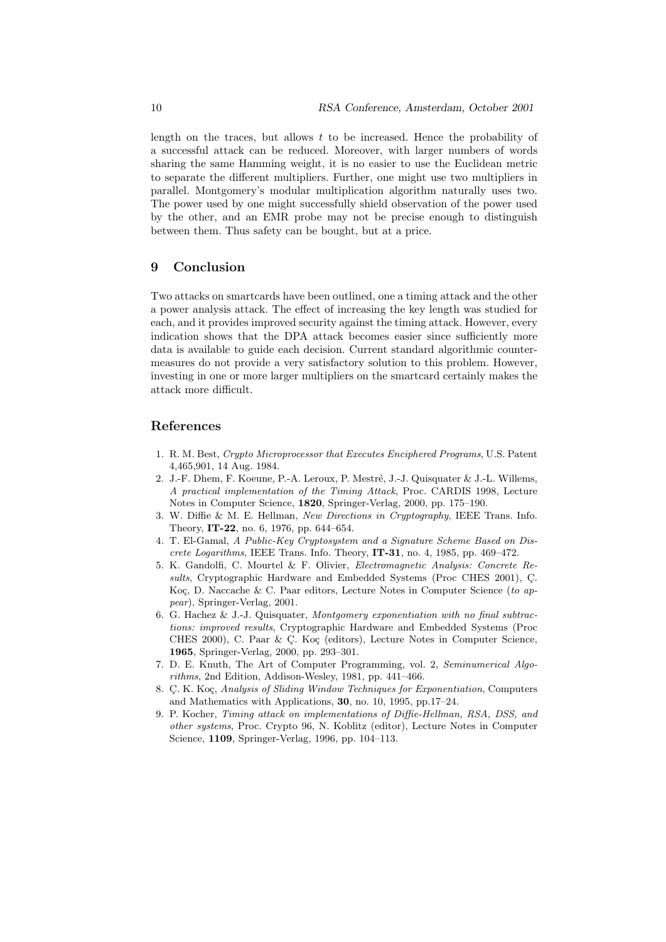length on the traces, but allows  $t$  to be increased. Hence the probability of a successful attack can be reduced. Moreover, with larger numbers of words sharing the same Hamming weight, it is no easier to use the Euclidean metric to separate the different multipliers. Further, one might use two multipliers in parallel. Montgomery's modular multiplication algorithm naturally uses two. The power used by one might successfully shield observation of the power used by the other, and an EMR probe may not be precise enough to distinguish between them. Thus safety can be bought, but at a price.

# 9 Conclusion

Two attacks on smartcards have been outlined, one a timing attack and the other a power analysis attack. The effect of increasing the key length was studied for each, and it provides improved security against the timing attack. However, every indication shows that the DPA attack becomes easier since sufficiently more data is available to guide each decision. Current standard algorithmic countermeasures do not provide a very satisfactory solution to this problem. However, investing in one or more larger multipliers on the smartcard certainly makes the attack more difficult.

## References

- 1. R. M. Best, Crypto Microprocessor that Executes Enciphered Programs, U.S. Patent 4,465,901, 14 Aug. 1984.
- 2. J.-F. Dhem, F. Koeune, P.-A. Leroux, P. Mestré, J.-J. Quisquater & J.-L. Willems, A practical implementation of the Timing Attack, Proc. CARDIS 1998, Lecture Notes in Computer Science, 1820, Springer-Verlag, 2000, pp. 175–190.
- 3. W. Diffie & M. E. Hellman, New Directions in Cryptography, IEEE Trans. Info. Theory, IT-22, no. 6, 1976, pp. 644–654.
- 4. T. El-Gamal, A Public-Key Cryptosystem and a Signature Scheme Based on Discrete Logarithms, IEEE Trans. Info. Theory,  $IT-31$ , no. 4, 1985, pp. 469-472.
- 5. K. Gandolfi, C. Mourtel & F. Olivier, Electromagnetic Analysis: Concrete Results, Cryptographic Hardware and Embedded Systems (Proc CHES 2001), C. Koç, D. Naccache & C. Paar editors, Lecture Notes in Computer Science (to appear), Springer-Verlag, 2001.
- 6. G. Hachez & J.-J. Quisquater, Montgomery exponentiation with no final subtractions: improved results, Cryptographic Hardware and Embedded Systems (Proc CHES 2000), C. Paar  $\&\,C$ . Koç (editors), Lecture Notes in Computer Science, 1965, Springer-Verlag, 2000, pp. 293–301.
- 7. D. E. Knuth, The Art of Computer Programming, vol. 2, Seminumerical Algorithms, 2nd Edition, Addison-Wesley, 1981, pp. 441–466.
- 8. C. K. Koç, Analysis of Sliding Window Techniques for Exponentiation, Computers and Mathematics with Applications, 30, no. 10, 1995, pp.17–24.
- 9. P. Kocher, Timing attack on implementations of Diffie-Hellman, RSA, DSS, and other systems, Proc. Crypto 96, N. Koblitz (editor), Lecture Notes in Computer Science, 1109, Springer-Verlag, 1996, pp. 104–113.